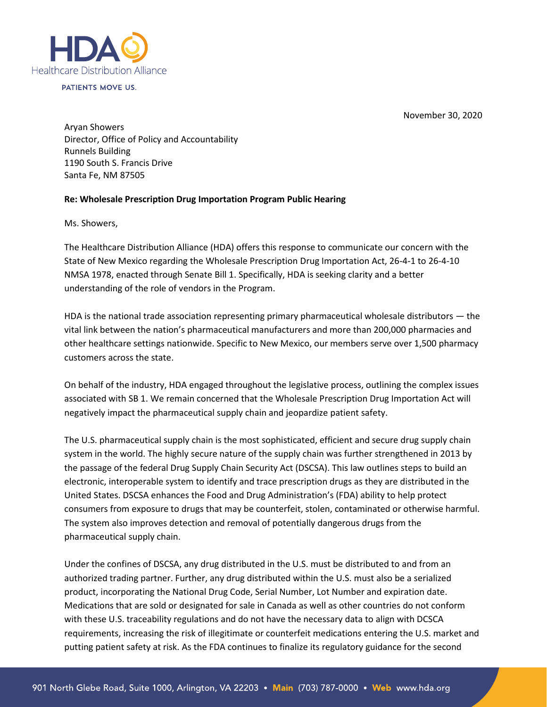

PATIENTS MOVE US.

November 30, 2020

Aryan Showers Director, Office of Policy and Accountability Runnels Building 1190 South S. Francis Drive Santa Fe, NM 87505

## **Re: Wholesale Prescription Drug Importation Program Public Hearing**

Ms. Showers,

The Healthcare Distribution Alliance (HDA) offers this response to communicate our concern with the State of New Mexico regarding the Wholesale Prescription Drug Importation Act, 26-4-1 to 26-4-10 NMSA 1978, enacted through Senate Bill 1. Specifically, HDA is seeking clarity and a better understanding of the role of vendors in the Program.

HDA is the national trade association representing primary pharmaceutical wholesale distributors — the vital link between the nation's pharmaceutical manufacturers and more than 200,000 pharmacies and other healthcare settings nationwide. Specific to New Mexico, our members serve over 1,500 pharmacy customers across the state.

On behalf of the industry, HDA engaged throughout the legislative process, outlining the complex issues associated with SB 1. We remain concerned that the Wholesale Prescription Drug Importation Act will negatively impact the pharmaceutical supply chain and jeopardize patient safety.

The U.S. pharmaceutical supply chain is the most sophisticated, efficient and secure drug supply chain system in the world. The highly secure nature of the supply chain was further strengthened in 2013 by the passage of the federal Drug Supply Chain Security Act (DSCSA). This law outlines steps to build an electronic, interoperable system to identify and trace prescription drugs as they are distributed in the United States. DSCSA enhances the Food and Drug Administration's (FDA) ability to help protect consumers from exposure to drugs that may be counterfeit, stolen, contaminated or otherwise harmful. The system also improves detection and removal of potentially dangerous drugs from the pharmaceutical supply chain.

Under the confines of DSCSA, any drug distributed in the U.S. must be distributed to and from an authorized trading partner. Further, any drug distributed within the U.S. must also be a serialized product, incorporating the National Drug Code, Serial Number, Lot Number and expiration date. Medications that are sold or designated for sale in Canada as well as other countries do not conform with these U.S. traceability regulations and do not have the necessary data to align with DCSCA requirements, increasing the risk of illegitimate or counterfeit medications entering the U.S. market and putting patient safety at risk. As the FDA continues to finalize its regulatory guidance for the second